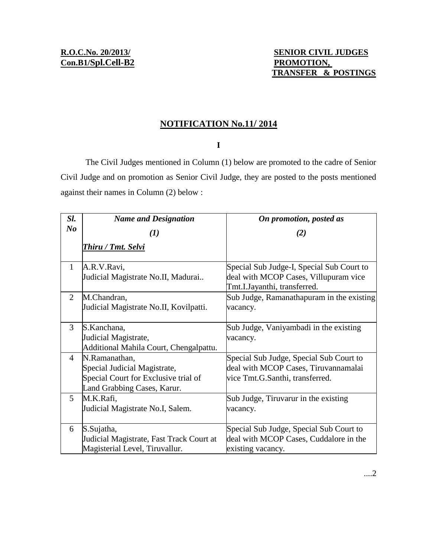## **NOTIFICATION No.11/ 2014**

## **I**

The Civil Judges mentioned in Column (1) below are promoted to the cadre of Senior Civil Judge and on promotion as Senior Civil Judge, they are posted to the posts mentioned against their names in Column (2) below :

| Sl.            | <b>Name and Designation</b>                                                                                          | On promotion, posted as                                                                                            |
|----------------|----------------------------------------------------------------------------------------------------------------------|--------------------------------------------------------------------------------------------------------------------|
| N <sub>o</sub> | $\boldsymbol{\left(1\right)}$                                                                                        | (2)                                                                                                                |
|                | Thiru / Tmt. Selvi                                                                                                   |                                                                                                                    |
| $\mathbf{1}$   | A.R.V.Ravi,<br>Judicial Magistrate No.II, Madurai                                                                    | Special Sub Judge-I, Special Sub Court to<br>deal with MCOP Cases, Villupuram vice<br>Tmt.I.Jayanthi, transferred. |
| $\overline{2}$ | M.Chandran,<br>Judicial Magistrate No.II, Kovilpatti.                                                                | Sub Judge, Ramanathapuram in the existing<br>vacancy.                                                              |
| 3              | S.Kanchana,<br>Judicial Magistrate,<br>Additional Mahila Court, Chengalpattu.                                        | Sub Judge, Vaniyambadi in the existing<br>vacancy.                                                                 |
| 4              | N.Ramanathan,<br>Special Judicial Magistrate,<br>Special Court for Exclusive trial of<br>Land Grabbing Cases, Karur. | Special Sub Judge, Special Sub Court to<br>deal with MCOP Cases, Tiruvannamalai<br>vice Tmt.G.Santhi, transferred. |
| 5              | M.K.Rafi,<br>Judicial Magistrate No.I, Salem.                                                                        | Sub Judge, Tiruvarur in the existing<br>vacancy.                                                                   |
| 6              | S.Sujatha,<br>Judicial Magistrate, Fast Track Court at<br>Magisterial Level, Tiruvallur.                             | Special Sub Judge, Special Sub Court to<br>deal with MCOP Cases, Cuddalore in the<br>existing vacancy.             |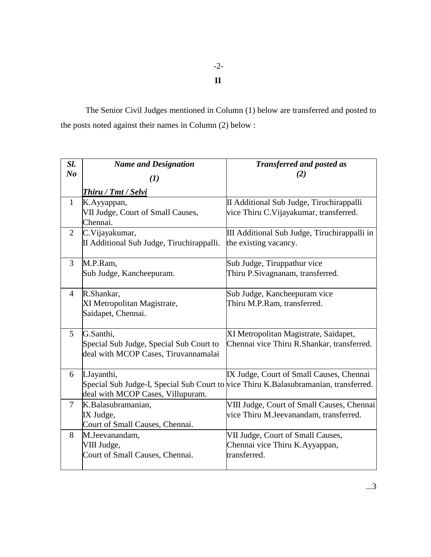-2-

**II**

The Senior Civil Judges mentioned in Column (1) below are transferred and posted to the posts noted against their names in Column (2) below :

| Sl.            | <b>Name and Designation</b>                   | <b>Transferred and posted as</b>                                                     |
|----------------|-----------------------------------------------|--------------------------------------------------------------------------------------|
| N <sub>o</sub> | (1)                                           | (2)                                                                                  |
|                | Thiru / Tmt / Selvi                           |                                                                                      |
| $\mathbf{1}$   | K.Ayyappan,                                   | II Additional Sub Judge, Tiruchirappalli                                             |
|                | VII Judge, Court of Small Causes,<br>Chennai. | vice Thiru C. Vijayakumar, transferred.                                              |
| $\overline{2}$ | C.Vijayakumar,                                | III Additional Sub Judge, Tiruchirappalli in                                         |
|                | II Additional Sub Judge, Tiruchirappalli.     | the existing vacancy.                                                                |
| 3              | M.P.Ram,                                      | Sub Judge, Tiruppathur vice                                                          |
|                | Sub Judge, Kancheepuram.                      | Thiru P.Sivagnanam, transferred.                                                     |
| $\overline{4}$ | R.Shankar,                                    | Sub Judge, Kancheepuram vice                                                         |
|                | XI Metropolitan Magistrate,                   | Thiru M.P.Ram, transferred.                                                          |
|                | Saidapet, Chennai.                            |                                                                                      |
| $\mathfrak{H}$ | G.Santhi,                                     | XI Metropolitan Magistrate, Saidapet,                                                |
|                | Special Sub Judge, Special Sub Court to       | Chennai vice Thiru R.Shankar, transferred.                                           |
|                | deal with MCOP Cases, Tiruvannamalai          |                                                                                      |
| 6              | I.Jayanthi,                                   | IX Judge, Court of Small Causes, Chennai                                             |
|                |                                               | Special Sub Judge-I, Special Sub Court to vice Thiru K.Balasubramanian, transferred. |
|                | deal with MCOP Cases, Villupuram.             |                                                                                      |
| $\overline{7}$ | K.Balasubramanian,                            | VIII Judge, Court of Small Causes, Chennai                                           |
|                | IX Judge,                                     | vice Thiru M.Jeevanandam, transferred.                                               |
|                | Court of Small Causes, Chennai.               |                                                                                      |
| 8              | M.Jeevanandam,                                | VII Judge, Court of Small Causes,                                                    |
|                | VIII Judge,                                   | Chennai vice Thiru K.Ayyappan,                                                       |
|                | Court of Small Causes, Chennai.               | transferred.                                                                         |